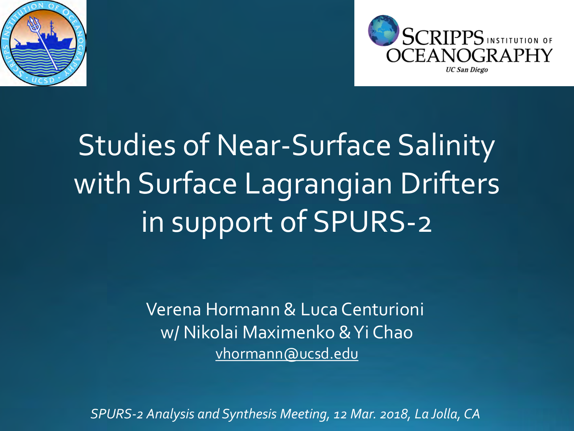



Studies of Near-Surface Salinity with Surface Lagrangian Drifters in support of SPURS-2

> Verena Hormann & Luca Centurioni w/ Nikolai Maximenko & Yi Chao vhormann@ucsd.edu

*SPURS-2 Analysis and Synthesis Meeting, 12 Mar. 2018, La Jolla, CA*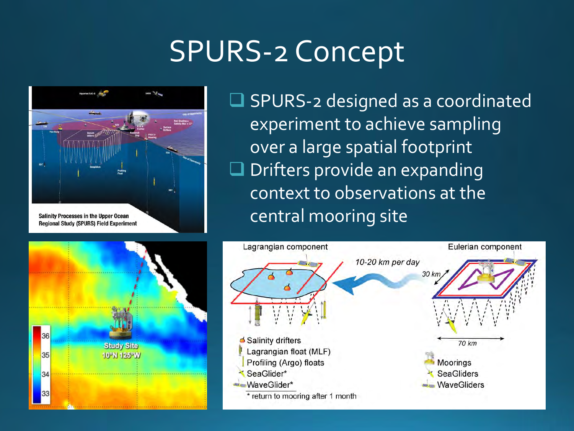# SPURS-2 Concept



**Q** SPURS-2 designed as a coordinated experiment to achieve sampling over a large spatial footprint **O** Drifters provide an expanding context to observations at the central mooring site



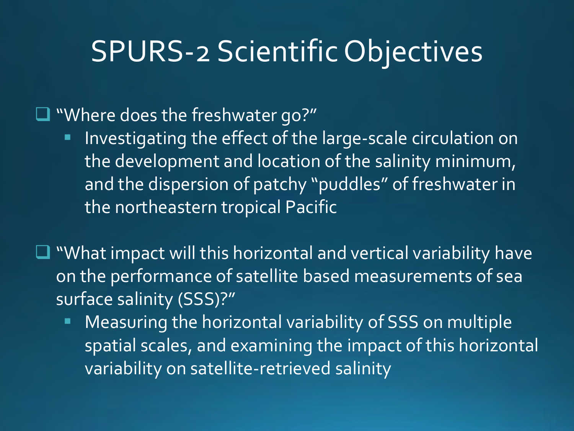## SPURS-2 Scientific Objectives

■ "Where does the freshwater go?"

- **Investigating the effect of the large-scale circulation on** the development and location of the salinity minimum, and the dispersion of patchy "puddles" of freshwater in the northeastern tropical Pacific
- $\Box$  "What impact will this horizontal and vertical variability have on the performance of satellite based measurements of sea surface salinity (SSS)?"
	- Measuring the horizontal variability of SSS on multiple spatial scales, and examining the impact of this horizontal variability on satellite-retrieved salinity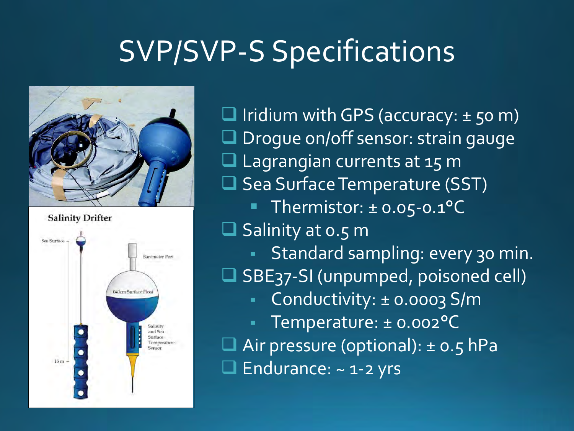## SVP/SVP-S Specifications



**Salinity Drifter** 



 $\Box$  Iridium with GPS (accuracy:  $\pm$  50 m) **Q** Drogue on/off sensor: strain gauge **Lagrangian currents at 15 m** □ Sea Surface Temperature (SST) Thermistor:  $\pm$  0.05-0.1°C  $\square$  Salinity at 0.5 m Standard sampling: every 30 min. □ SBE37-SI (unpumped, poisoned cell) ■ Conductivity: ± 0.0003 S/m Temperature: ± 0.002°C Air pressure (optional): ± 0.5 hPa Endurance: ~ 1-2 yrs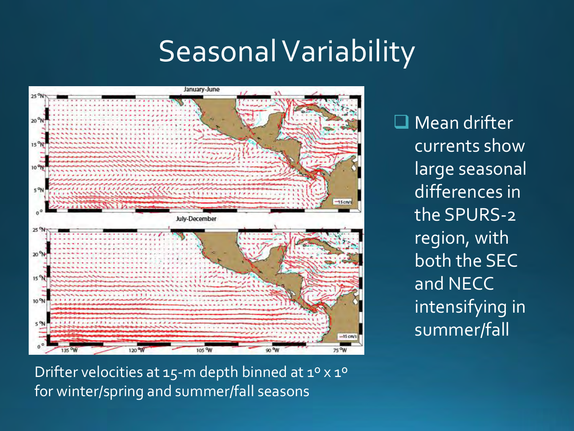## Seasonal Variability



**Q** Mean drifter currents show large seasonal differences in the SPURS-2 region, with both the SEC and NECC intensifying in summer/fall

Drifter velocities at 15-m depth binned at 1º x 1º for winter/spring and summer/fall seasons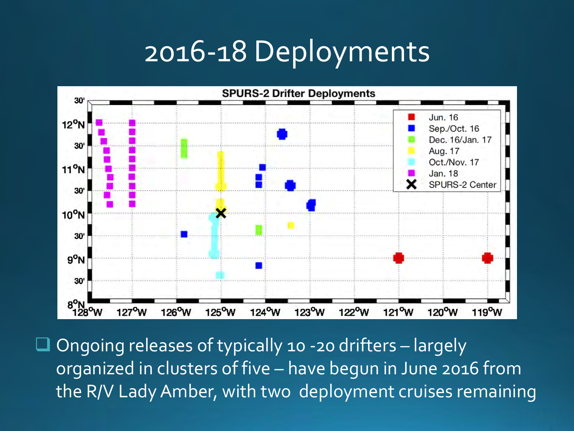## 2016-18 Deployments



 $\Box$  Ongoing releases of typically 10 -20 drifters - largely organized in clusters of five – have begun in June 2016 from the R/V Lady Amber, with two deployment cruises remaining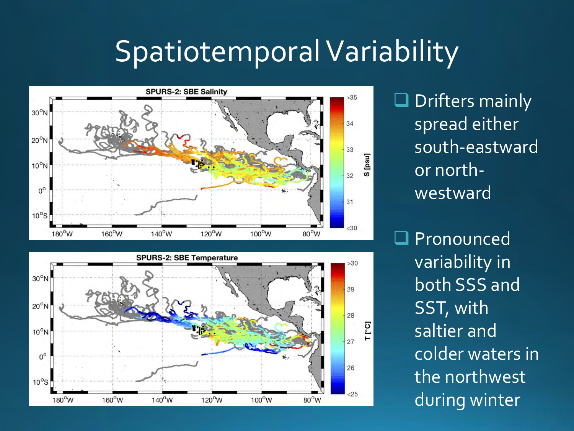## Spatiotemporal Variability





 $\Box$  Drifters mainly spread either south-eastward or northwestward

**Q** Pronounced variability in both SSS and SST, with saltier and colder waters in the northwest during winter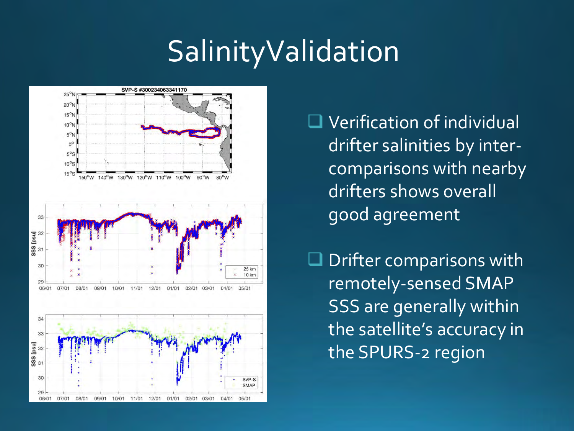## **SalinityValidation**



**Q** Verification of individual drifter salinities by intercomparisons with nearby drifters shows overall good agreement

 $\Box$  Drifter comparisons with remotely-sensed SMAP SSS are generally within the satellite's accuracy in the SPURS-2 region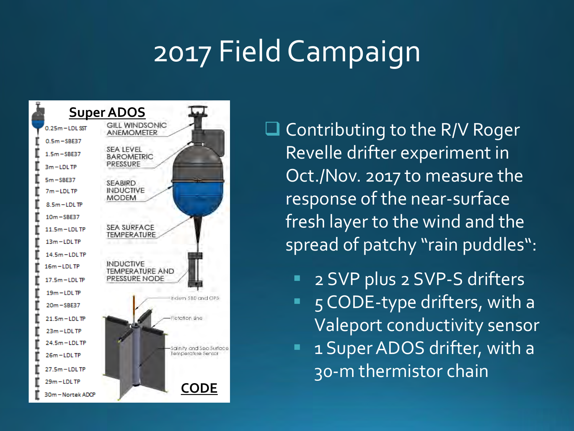# 2017 Field Campaign



 $\Box$  Contributing to the R/V Roger Revelle drifter experiment in Oct./Nov. 2017 to measure the response of the near-surface fresh layer to the wind and the spread of patchy "rain puddles":

- 2 SVP plus 2 SVP-S drifters
- $\blacksquare$  5 CODE-type drifters, with a Valeport conductivity sensor
- 1 Super ADOS drifter, with a 30-m thermistor chain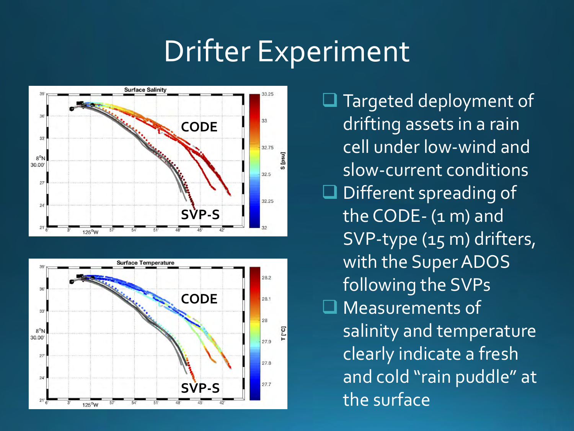# Drifter Experiment





 $\Box$  Targeted deployment of drifting assets in a rain cell under low-wind and slow-current conditions  $\Box$  Different spreading of the CODE- (1 m) and SVP-type (15 m) drifters, with the Super ADOS following the SVPs ■ Measurements of salinity and temperature clearly indicate a fresh and cold "rain puddle" at the surface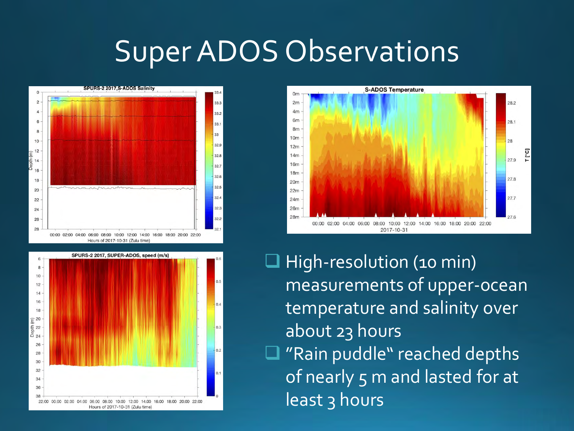### Super ADOS Observations







 $\Box$  High-resolution (10 min) measurements of upper-ocean temperature and salinity over about 23 hours ■ "Rain puddle" reached depths of nearly 5 m and lasted for at least 3 hours